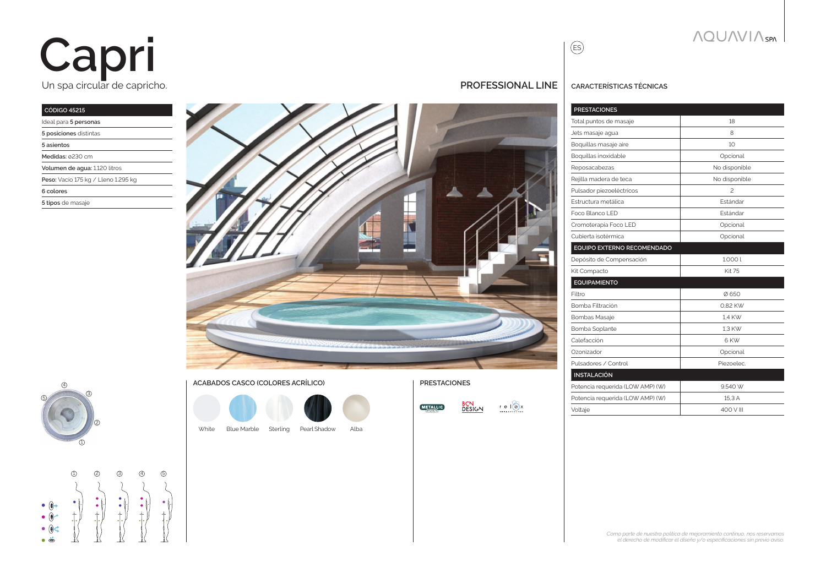# Un spa circular de capricho. **Capri**

#### **Código 45215** Ideal para **5 personas**

| iucal para o personas               |
|-------------------------------------|
| 5 posiciones distintas              |
| 5 asientos                          |
| Medidas: ø230 cm                    |
| Volumen de aqua: 1.120 litros       |
| Peso: Vacío 175 kg / Lleno 1.295 kg |
| 6 colores                           |
| 5 tipos de masaje                   |
|                                     |





#### **ACABADOS CASCO (COLORES ACRÍLICO) PRESTACIONES**



White Sterling Pearl Shadow Blue Marble Alba



| BCN    | r e I(a)x                  |
|--------|----------------------------|
| DESIGN | <b><i>IMPACTSYSTEM</i></b> |



**NQUAVIA** SPN

| Total puntos de masaje           | 18              |
|----------------------------------|-----------------|
| Jets masaje agua                 | 8               |
| Boquillas masaje aire            | 10              |
| Boquillas inoxidable             | Opcional        |
| Reposacabezas                    | No disponible   |
| Rejilla madera de teca           | No disponible   |
| Pulsador piezoeléctricos         | $\mathcal{P}$   |
| Estructura metálica              | <b>Fstándar</b> |
| Foco Blanco LED                  | <b>Fstándar</b> |
| Cromoterapia Foco LED            | Opcional        |
| Cubierta isotérmica              | Opcional        |
| EQUIPO EXTERNO RECOMENDADO       |                 |
| Depósito de Compensación         | 1.0001          |
| Kit Compacto                     | <b>Kit 75</b>   |
| <b>EQUIPAMIENTO</b>              |                 |
| Filtro                           | Ø650            |
| Bomba Filtración                 | 0.82 KW         |
| <b>Bombas Masaje</b>             | 1.4 KW          |
| Bomba Soplante                   | 1.3 KW          |
| Calefacción                      | 6 KW            |
| Ozonizador                       | Opcional        |
| Pulsadores / Control             | Piezoelec.      |
| <b>INSTALACIÓN</b>               |                 |
| Potencia requerida (LOW AMP) (W) | 9.540 W         |
| Potencia requerida (LOW AMP) (W) | 15.3 A          |
| Voltaie                          | 400 V III       |

**PRESTACIONES**

ES

*Como parte de nuestra política de mejoramiento continuo, nos reservamos el derecho de modificar el diseño y/o especificaciones sin previo aviso.*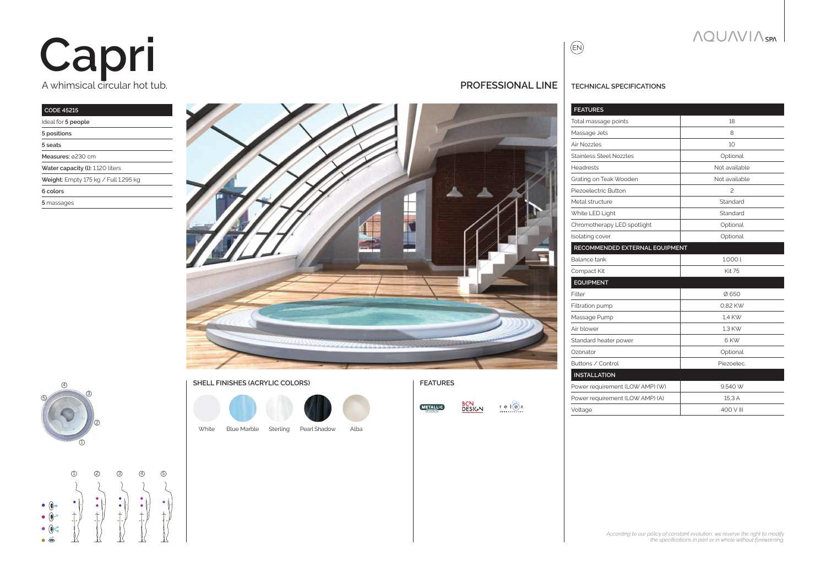## A whimsical circular hot tub. **Capri**

### **CODE 45215**

| Ideal for 5 people                   |
|--------------------------------------|
| 5 positions                          |
| 5 seats                              |
| Measures: 0230 cm                    |
| Water capacity (I): 1.120 liters     |
| Weight: Empty 175 kg / Full 1.295 kg |
| 6 colors                             |
| 5 massages                           |
|                                      |





### **SHELL FINISHES (ACRYLIC COLORS) FEATURES**



White Blue Marble Sterling Pearl Shadow Alba



### **PROFESSIONAL line TECHNICAL SPECIFICATIONS**

 $\bigoplus$ 

| Total massage points            | 18             |
|---------------------------------|----------------|
| Massage Jets                    | 8              |
| Air Nozzles                     | 10             |
| Stainless Steel Nozzles         | Optional       |
| <b>Headrests</b>                | Not available  |
| Grating on Teak Wooden          | Not available  |
| Piezoelectric Button            | $\mathfrak{p}$ |
| Metal structure                 | Standard       |
| White LED Light                 | Standard       |
| Chromotherapy LED spotlight     | Optional       |
| Isolating cover                 | Optional       |
| RECOMMENDED EXTERNAL EQUIPMENT  |                |
| Balance tank                    | 1.0001         |
| Compact Kit                     | <b>Kit 75</b>  |
| <b>EQUIPMENT</b>                |                |
| Filter                          | Ø650           |
| Filtration pump                 | 0.82 KW        |
| Massage Pump                    | 1.4 KW         |
| Air blower                      | 1.3 KW         |
| Standard heater power           | 6 KW           |
| Ozonator                        | Optional       |
| Buttons / Control               | Piezoelec.     |
| <b>INSTALLATION</b>             |                |
| Power requirement (LOW AMP) (W) | 9.540 W        |
| Power requirement (LOW AMP) (A) | 15.3 A         |
| Voltage                         | 400 V III      |

**NQUAVIA**SPA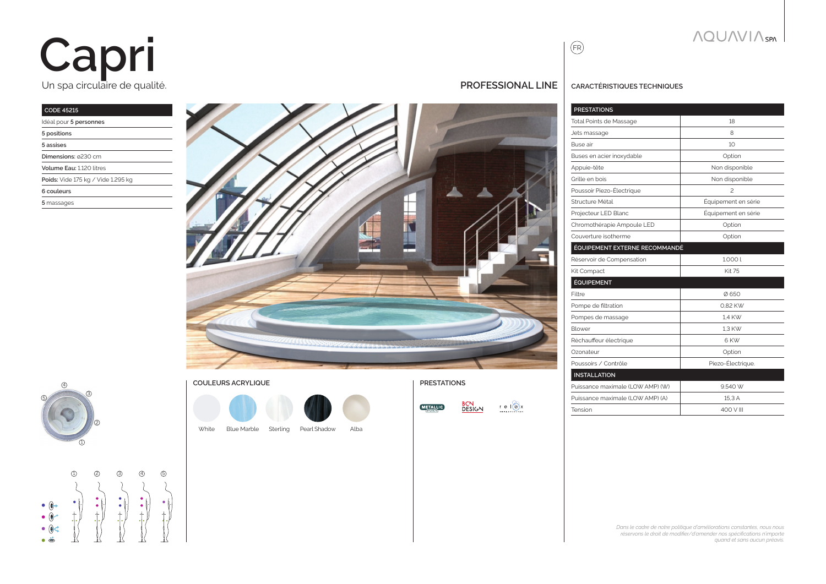# Un spa circulaire de qualité. **Capri**

### **CODE 45215**

| Idéal pour 5 personnes             |
|------------------------------------|
| 5 positions                        |
| 5 assises                          |
| Dimensions: 0230 cm                |
| Volume Fau: 1120 litres            |
| Poids: Vide 175 kg / Vide 1.295 kg |
| 6 couleurs                         |
| 5 massages                         |
|                                    |





**COULEURS ACRYLIQUE PRESTATIONS**

White Blue Marble Sterling Pearl Shadow Alba



|     |                                                | PUSS  |
|-----|------------------------------------------------|-------|
|     |                                                | Puiss |
| '-N | $r e  (\alpha)x$<br><b><i>IMPACTSYSTEM</i></b> | Tensi |

| <b>PRESTATIONS</b>             |                          |
|--------------------------------|--------------------------|
| <b>Total Points de Massage</b> | 18                       |
| Jets massage                   | 8                        |
| Buse air                       | 10                       |
| Buses en acier inoxydable      | Option                   |
| Appuie-tête                    | Non disponible           |
| Grille en bois                 | Non disponible           |
| Poussoir Piezo-Électrique      | $\overline{\phantom{a}}$ |
| Structure Métal                | Équipement en série      |
| Projecteur LED Blanc           | Équipement en série      |
| Chromothérapie Ampoule LED     | Option                   |
| Couverture isotherme           | Option                   |
| ÉQUIPEMENT EXTERNE RECOMMANDÉ  |                          |
| Réservoir de Compensation      | 1.000 l                  |
| Kit Compact                    | <b>Kit 75</b>            |
| <b>ÉQUIPEMENT</b>              |                          |
| Filtre                         | Ø650                     |
| Pompe de filtration            | 0.82 KW                  |
| Pompes de massage              | 1.4 KW                   |
| Blower                         | 1.3 KW                   |
| Réchauffeur électrique         | 6 KW                     |
| Ozonateur                      | Option                   |
|                                | ÷.<br><b>COLLA</b>       |

| Piezo-Electrique. |
|-------------------|
|                   |
| 9540 W            |
| 15.3A             |
| $400 V$ III       |
|                   |

*Dans le cadre de notre politique d'améliorations constantes, nous nous réservons le droit de modifier/d'amender nos spécifications n'importe quand et sans aucun préavis.*

 $\bigodot$ 

**PROFESSIONAL LINE CARACTÉRISTIQUES** TECHNIQUES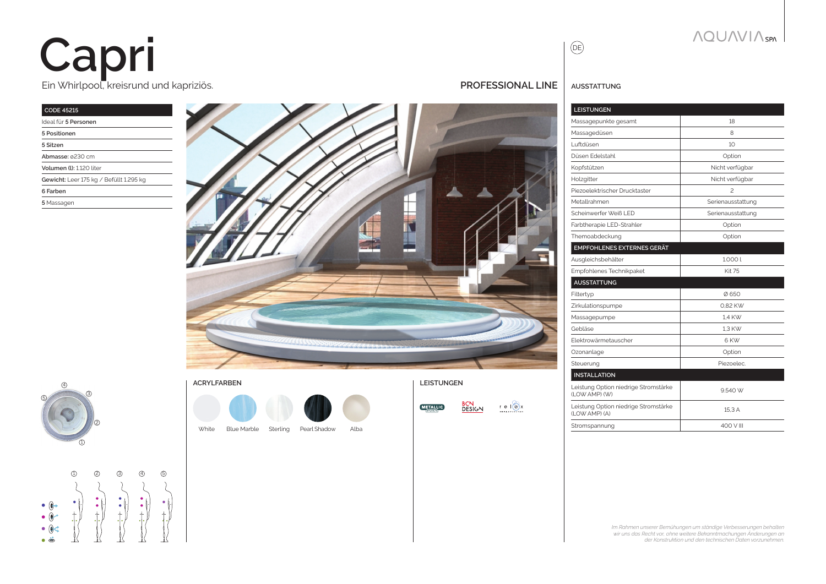# Ein Whirlpool, kreisrund und kapriziös. **Capri**

### **CODE 45215** Ideal für **5 Personen**

| 5 Positionen                            |
|-----------------------------------------|
| 5 Sitzen                                |
| Abmasse: ø230 cm                        |
| Volumen (I): 1.120 liter                |
| Gewicht: Leer 175 kg / Befüllt 1.295 kg |
| 6 Farben                                |
| 5 Massagen                              |









| DESIGN. | alx<br>e<br><b>IMPACTSYSTEM</b> |
|---------|---------------------------------|
|---------|---------------------------------|

| Gebläse                                                | 1.3 KW     |
|--------------------------------------------------------|------------|
| Flektrowärmetauscher                                   | 6 KW       |
| Ozonanlage                                             | Option     |
| Steuerung                                              | Piezoelec. |
| <b>INSTALLATION</b>                                    |            |
| Leistung Option niedrige Stromstärke<br>(I OW AMP) (W) | 9.540 W    |
| Leistung Option niedrige Stromstärke<br>(LOW AMP) (A)  | 15.3 A     |
| Stromspannung                                          | 400 V III  |



*Im Rahmen unserer Bemühungen um ständige Verbesserungen behalten wir uns das Recht vor, ohne weitere Bekanntmachungen Änderungen an* 

*der Konstruktion und den technischen Daten vorzunehmen.*

### **NOUNVIA** SPA

**PROFESSIONAL LINE AUSSTATTUNG** 

**EMPFOHLENES EXTERNES GERÄT**

**AUSSTATTUNG**

Massagepunkte gesamt and a more than 18 Massagedüsen 8 Luftdüsen 10 Düsen Edelstahl **Option** Kopfstützen Nicht verfügbar Holzgitter Nicht verfügbar Piezoelektrischer Drucktaster 2 Metallrahmen Serienausstattung Scheinwerfer Weiß LED Serienausstattung Farbtherapie LED-Strahler **Contact Contact Accord Contact Contact Contact Contact Contact Contact Contact Contact Contact Contact Contact Contact Contact Contact Contact Contact Contact Contact Contact Contact Contact Cont** Themoabdeckung and a continued option

Ausgleichsbehälter 1.000 l Empfohlenes Technikpaket **Kit 75** Kit 75

Filtertyp Ø 650 Zirkulationspumpe 2008 and 2008 and 2008 and 2008 and 2008 and 2008 and 2008 and 2008 and 2008 and 2008 and 20 Massagepumpe 1,4 KW

**LEISTUNGEN**

 $\circledR$